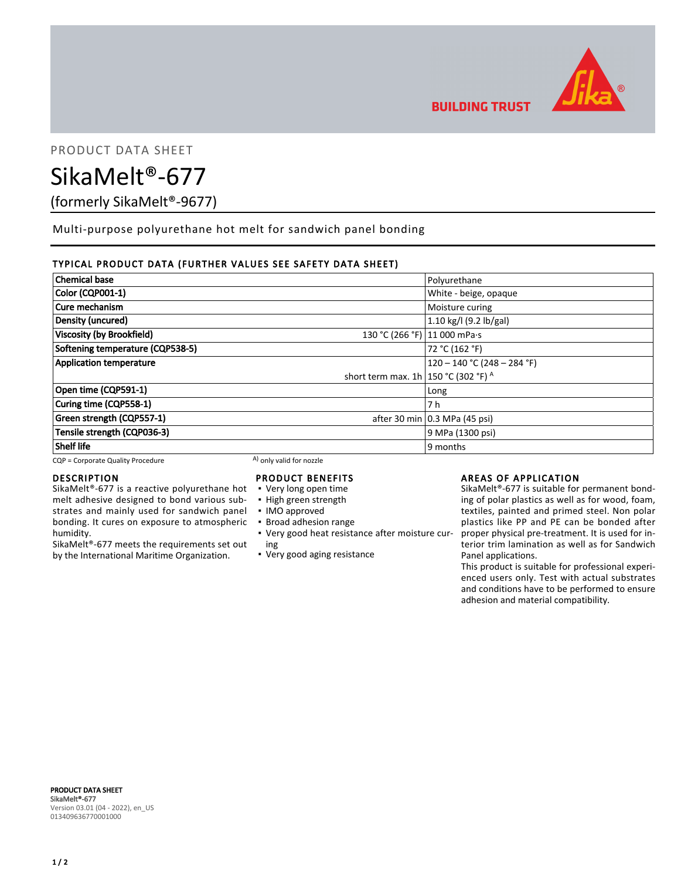

**BUILDING TRUST** 

# PRODUCT DATA SHEET

# SikaMelt®-677

(formerly SikaMelt®-9677)

Multi-purpose polyurethane hot melt for sandwich panel bonding

# TYPICAL PRODUCT DATA (FURTHER VALUES SEE SAFETY DATA SHEET)

| <b>Chemical base</b>                                             | Polyurethane                  |  |
|------------------------------------------------------------------|-------------------------------|--|
| Color (CQP001-1)                                                 | White - beige, opaque         |  |
| Cure mechanism                                                   | Moisture curing               |  |
| Density (uncured)                                                | 1.10 kg/l (9.2 lb/gal)        |  |
| <b>Viscosity (by Brookfield)</b><br>130 °C (266 °F) 11 000 mPa·s |                               |  |
| Softening temperature (CQP538-5)                                 | 72 °C (162 °F)                |  |
| <b>Application temperature</b>                                   | $120 - 140$ °C (248 – 284 °F) |  |
| short term max. 1h 150 °C (302 °F) $^{\circ}$                    |                               |  |
| Open time (CQP591-1)                                             | Long                          |  |
| Curing time (CQP558-1)                                           | 7 h                           |  |
| Green strength (CQP557-1)                                        | after 30 min 0.3 MPa (45 psi) |  |
| Tensile strength (CQP036-3)                                      | 9 MPa (1300 psi)              |  |
| <b>Shelf life</b>                                                | 9 months                      |  |

 $CQP =$  Corporate Quality Procedure  $(A)$  only valid for nozzle

# DESCRIPTION

SikaMelt®-677 is a reactive polyurethane hot melt adhesive designed to bond various substrates and mainly used for sandwich panel bonding. It cures on exposure to atmospheric humidity.

SikaMelt®-677 meets the requirements set out by the International Maritime Organization.

# PRODUCT BENEFITS

- Very long open time
- High green strength
- IMO approved
- Broad adhesion range
- Very good heat resistance after moisture cur-▪ ing
- Very good aging resistance

# AREAS OF APPLICATION

SikaMelt®-677 is suitable for permanent bonding of polar plastics as well as for wood, foam, textiles, painted and primed steel. Non polar plastics like PP and PE can be bonded after proper physical pre-treatment. It is used for interior trim lamination as well as for Sandwich Panel applications.

This product is suitable for professional experienced users only. Test with actual substrates and conditions have to be performed to ensure adhesion and material compatibility.